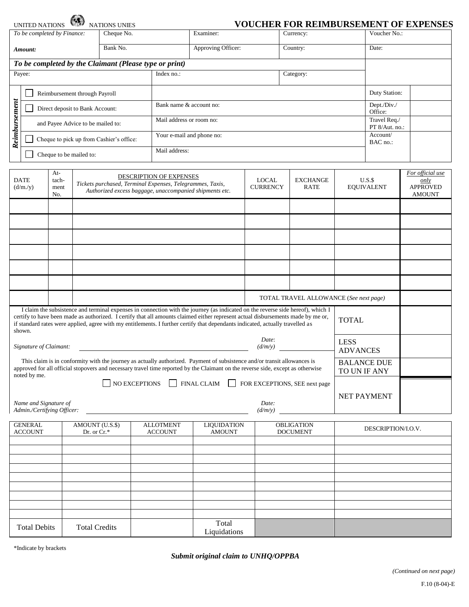|                                                                                                                                                                                                                                                                                                                                                                                                                                 | <b>UNITED NATIONS</b>                                                                                                                                                                                                                                                                             |  |                      | <b>NATIONS UNIES</b>                   |                                 |                                                                                                                      |                    |  |                                |                            |               | <b>VOUCHER FOR REIMBURSEMENT OF EXPENSES</b>                 |  |
|---------------------------------------------------------------------------------------------------------------------------------------------------------------------------------------------------------------------------------------------------------------------------------------------------------------------------------------------------------------------------------------------------------------------------------|---------------------------------------------------------------------------------------------------------------------------------------------------------------------------------------------------------------------------------------------------------------------------------------------------|--|----------------------|----------------------------------------|---------------------------------|----------------------------------------------------------------------------------------------------------------------|--------------------|--|--------------------------------|----------------------------|---------------|--------------------------------------------------------------|--|
| To be completed by Finance:<br>Cheque No.                                                                                                                                                                                                                                                                                                                                                                                       |                                                                                                                                                                                                                                                                                                   |  |                      |                                        |                                 | Examiner:                                                                                                            |                    |  | Currency:                      |                            |               | Voucher No.:                                                 |  |
| Bank No.<br>Amount:                                                                                                                                                                                                                                                                                                                                                                                                             |                                                                                                                                                                                                                                                                                                   |  |                      |                                        |                                 | Approving Officer:                                                                                                   |                    |  | Country:                       |                            |               | Date:                                                        |  |
| To be completed by the Claimant (Please type or print)                                                                                                                                                                                                                                                                                                                                                                          |                                                                                                                                                                                                                                                                                                   |  |                      |                                        |                                 |                                                                                                                      |                    |  |                                |                            |               |                                                              |  |
|                                                                                                                                                                                                                                                                                                                                                                                                                                 | Payee:                                                                                                                                                                                                                                                                                            |  |                      |                                        | Index no.:                      | Category:                                                                                                            |                    |  |                                |                            |               |                                                              |  |
|                                                                                                                                                                                                                                                                                                                                                                                                                                 | Reimbursement through Payroll                                                                                                                                                                                                                                                                     |  |                      |                                        |                                 |                                                                                                                      |                    |  |                                |                            | Duty Station: |                                                              |  |
|                                                                                                                                                                                                                                                                                                                                                                                                                                 | Direct deposit to Bank Account:                                                                                                                                                                                                                                                                   |  |                      |                                        |                                 | Bank name & account no:                                                                                              |                    |  |                                |                            |               |                                                              |  |
|                                                                                                                                                                                                                                                                                                                                                                                                                                 | and Payee Advice to be mailed to:                                                                                                                                                                                                                                                                 |  |                      |                                        |                                 | Mail address or room no:                                                                                             |                    |  |                                |                            |               |                                                              |  |
| Reimbursement                                                                                                                                                                                                                                                                                                                                                                                                                   | Cheque to pick up from Cashier's office:                                                                                                                                                                                                                                                          |  |                      |                                        |                                 | Your e-mail and phone no:                                                                                            |                    |  |                                |                            |               | PT 8/Aut. no.:                                               |  |
|                                                                                                                                                                                                                                                                                                                                                                                                                                 |                                                                                                                                                                                                                                                                                                   |  |                      |                                        |                                 | Mail address:                                                                                                        |                    |  |                                |                            |               |                                                              |  |
|                                                                                                                                                                                                                                                                                                                                                                                                                                 | Cheque to be mailed to:                                                                                                                                                                                                                                                                           |  |                      |                                        |                                 |                                                                                                                      |                    |  |                                |                            |               |                                                              |  |
| At-<br><b>DATE</b><br>tach-<br>(d/m./y)<br>ment<br>No.                                                                                                                                                                                                                                                                                                                                                                          |                                                                                                                                                                                                                                                                                                   |  |                      |                                        | DESCRIPTION OF EXPENSES         | Tickets purchased, Terminal Expenses, Telegrammes, Taxis,<br>Authorized excess baggage, unaccompanied shipments etc. |                    |  | <b>EXCHANGE</b><br><b>RATE</b> | U.S.S<br><b>EQUIVALENT</b> |               | For official use<br>only<br><b>APPROVED</b><br><b>AMOUNT</b> |  |
|                                                                                                                                                                                                                                                                                                                                                                                                                                 |                                                                                                                                                                                                                                                                                                   |  |                      |                                        |                                 |                                                                                                                      |                    |  |                                |                            |               |                                                              |  |
|                                                                                                                                                                                                                                                                                                                                                                                                                                 |                                                                                                                                                                                                                                                                                                   |  |                      |                                        |                                 |                                                                                                                      |                    |  |                                |                            |               |                                                              |  |
|                                                                                                                                                                                                                                                                                                                                                                                                                                 |                                                                                                                                                                                                                                                                                                   |  |                      |                                        |                                 |                                                                                                                      |                    |  |                                |                            |               |                                                              |  |
|                                                                                                                                                                                                                                                                                                                                                                                                                                 |                                                                                                                                                                                                                                                                                                   |  |                      |                                        |                                 |                                                                                                                      |                    |  |                                |                            |               |                                                              |  |
|                                                                                                                                                                                                                                                                                                                                                                                                                                 |                                                                                                                                                                                                                                                                                                   |  |                      |                                        |                                 |                                                                                                                      |                    |  |                                |                            |               |                                                              |  |
|                                                                                                                                                                                                                                                                                                                                                                                                                                 |                                                                                                                                                                                                                                                                                                   |  |                      |                                        |                                 |                                                                                                                      |                    |  |                                |                            |               |                                                              |  |
|                                                                                                                                                                                                                                                                                                                                                                                                                                 |                                                                                                                                                                                                                                                                                                   |  |                      | TOTAL TRAVEL ALLOWANCE (See next page) |                                 |                                                                                                                      |                    |  |                                |                            |               |                                                              |  |
| I claim the subsistence and terminal expenses in connection with the journey (as indicated on the reverse side hereof), which I<br>certify to have been made as authorized. I certify that all amounts claimed either represent actual disbursements made by me or,<br><b>TOTAL</b><br>if standard rates were applied, agree with my entitlements. I further certify that dependants indicated, actually travelled as<br>shown. |                                                                                                                                                                                                                                                                                                   |  |                      |                                        |                                 |                                                                                                                      |                    |  |                                |                            |               |                                                              |  |
| Date:<br><b>LESS</b><br>Signature of Claimant:<br>(d/m/y)                                                                                                                                                                                                                                                                                                                                                                       |                                                                                                                                                                                                                                                                                                   |  |                      |                                        |                                 |                                                                                                                      |                    |  | <b>ADVANCES</b>                |                            |               |                                                              |  |
|                                                                                                                                                                                                                                                                                                                                                                                                                                 | This claim is in conformity with the journey as actually authorized. Payment of subsistence and/or transit allowances is<br><b>BALANCE DUE</b><br>approved for all official stopovers and necessary travel time reported by the Claimant on the reverse side, except as otherwise<br>TO UN IF ANY |  |                      |                                        |                                 |                                                                                                                      |                    |  |                                |                            |               |                                                              |  |
|                                                                                                                                                                                                                                                                                                                                                                                                                                 | noted by me.                                                                                                                                                                                                                                                                                      |  |                      |                                        | $\Box$ NO EXCEPTIONS<br>$\perp$ | <b>FINAL CLAIM</b><br>$\perp$                                                                                        |                    |  | FOR EXCEPTIONS, SEE next page  |                            |               |                                                              |  |
| Name and Signature of<br>Date:<br>Admin./Certifying Officer:<br>(d/m/y)                                                                                                                                                                                                                                                                                                                                                         |                                                                                                                                                                                                                                                                                                   |  |                      |                                        |                                 |                                                                                                                      |                    |  | NET PAYMENT                    |                            |               |                                                              |  |
| <b>GENERAL</b><br><b>ALLOTMENT</b><br>OBLIGATION<br>AMOUNT (U.S.\$)<br><b>LIQUIDATION</b>                                                                                                                                                                                                                                                                                                                                       |                                                                                                                                                                                                                                                                                                   |  |                      |                                        |                                 |                                                                                                                      |                    |  |                                |                            |               |                                                              |  |
| <b>ACCOUNT</b><br>Dr. or Cr.*                                                                                                                                                                                                                                                                                                                                                                                                   |                                                                                                                                                                                                                                                                                                   |  | <b>ACCOUNT</b>       | <b>DOCUMENT</b>                        |                                 |                                                                                                                      | DESCRIPTION/I.O.V. |  |                                |                            |               |                                                              |  |
|                                                                                                                                                                                                                                                                                                                                                                                                                                 |                                                                                                                                                                                                                                                                                                   |  |                      |                                        |                                 |                                                                                                                      |                    |  |                                |                            |               |                                                              |  |
|                                                                                                                                                                                                                                                                                                                                                                                                                                 |                                                                                                                                                                                                                                                                                                   |  |                      |                                        |                                 |                                                                                                                      |                    |  |                                |                            |               |                                                              |  |
|                                                                                                                                                                                                                                                                                                                                                                                                                                 |                                                                                                                                                                                                                                                                                                   |  |                      |                                        |                                 |                                                                                                                      |                    |  |                                |                            |               |                                                              |  |
|                                                                                                                                                                                                                                                                                                                                                                                                                                 |                                                                                                                                                                                                                                                                                                   |  |                      |                                        |                                 |                                                                                                                      |                    |  |                                |                            |               |                                                              |  |
|                                                                                                                                                                                                                                                                                                                                                                                                                                 |                                                                                                                                                                                                                                                                                                   |  |                      |                                        |                                 |                                                                                                                      |                    |  |                                |                            |               |                                                              |  |
|                                                                                                                                                                                                                                                                                                                                                                                                                                 | <b>Total Debits</b>                                                                                                                                                                                                                                                                               |  | <b>Total Credits</b> |                                        |                                 | Total<br>Liquidations                                                                                                |                    |  |                                |                            |               |                                                              |  |

\*Indicate by brackets

## *Submit original claim to UNHQ/OPPBA*